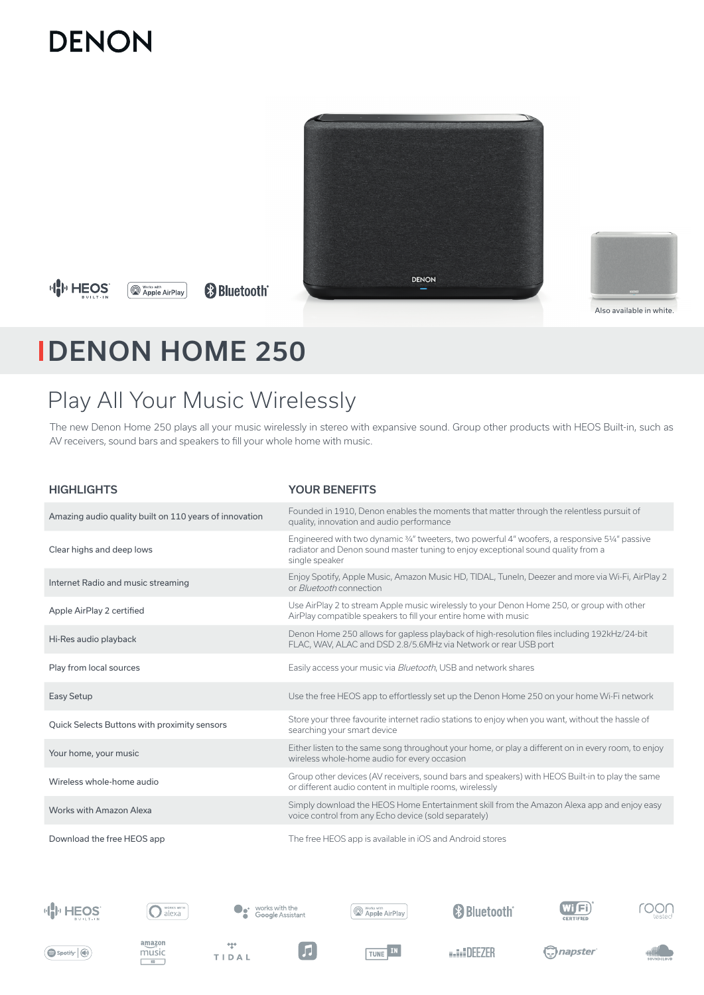# **DENON**



**HH HEOS** 

**Works with**<br> **Apple AirPlay &Bluetooth®** 



Also available in white.

# DENON HOME 250

# Play All Your Music Wirelessly

The new Denon Home 250 plays all your music wirelessly in stereo with expansive sound. Group other products with HEOS Built-in, such as AV receivers, sound bars and speakers to fill your whole home with music.

| <b>HIGHLIGHTS</b>                                      | <b>YOUR BENEFITS</b>                                                                                                                                                                                 |
|--------------------------------------------------------|------------------------------------------------------------------------------------------------------------------------------------------------------------------------------------------------------|
| Amazing audio quality built on 110 years of innovation | Founded in 1910, Denon enables the moments that matter through the relentless pursuit of<br>quality, innovation and audio performance                                                                |
| Clear highs and deep lows                              | Engineered with two dynamic 3/4" tweeters, two powerful 4" woofers, a responsive 53/4" passive<br>radiator and Denon sound master tuning to enjoy exceptional sound quality from a<br>single speaker |
| Internet Radio and music streaming                     | Enjoy Spotify, Apple Music, Amazon Music HD, TIDAL, Tuneln, Deezer and more via Wi-Fi, AirPlay 2<br>or <i>Bluetooth</i> connection                                                                   |
| Apple AirPlay 2 certified                              | Use AirPlay 2 to stream Apple music wirelessly to your Denon Home 250, or group with other<br>AirPlay compatible speakers to fill your entire home with music                                        |
| Hi-Res audio playback                                  | Denon Home 250 allows for gapless playback of high-resolution files including 192kHz/24-bit<br>FLAC, WAV, ALAC and DSD 2.8/5.6MHz via Network or rear USB port                                       |
| Play from local sources                                | Easily access your music via Bluetooth, USB and network shares                                                                                                                                       |
| <b>Easy Setup</b>                                      | Use the free HEOS app to effortlessly set up the Denon Home 250 on your home Wi-Fi network                                                                                                           |
| Quick Selects Buttons with proximity sensors           | Store your three favourite internet radio stations to enjoy when you want, without the hassle of<br>searching your smart device                                                                      |
| Your home, your music                                  | Either listen to the same song throughout your home, or play a different on in every room, to enjoy<br>wireless whole-home audio for every occasion                                                  |
| Wireless whole-home audio                              | Group other devices (AV receivers, sound bars and speakers) with HEOS Built-in to play the same<br>or different audio content in multiple rooms, wirelessly                                          |
| Works with Amazon Alexa                                | Simply download the HEOS Home Entertainment skill from the Amazon Alexa app and enjoy easy<br>voice control from any Echo device (sold separately)                                                   |
| Download the free HEOS app                             | The free HEOS app is available in iOS and Android stores                                                                                                                                             |





amazon

music

 $\frac{\text{H}_0}{\text{H}_0}$ 



**My Works with** AirPlay

<sup>8</sup>Bluetooth<sup>®</sup>





 $\bigcirc$  Spotify  $\bigcirc$ 



 $\frac{1+\epsilon}{2}$ 

TIDAL



F

TUNE IN

**BALL DEEZER**